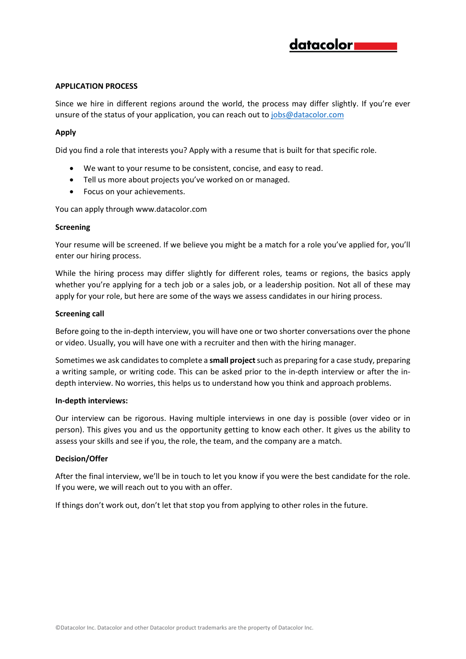## **APPLICATION PROCESS**

Since we hire in different regions around the world, the process may differ slightly. If you're ever unsure of the status of your application, you can reach out t[o jobs@datacolor.com](mailto:jobs@datacolor.com)

# **Apply**

Did you find a role that interests you? Apply with a resume that is built for that specific role.

- We want to your resume to be consistent, concise, and easy to read.
- Tell us more about projects you've worked on or managed.
- Focus on your achievements.

You can apply through www.datacolor.com

### **Screening**

Your resume will be screened. If we believe you might be a match for a role you've applied for, you'll enter our hiring process.

While the hiring process may differ slightly for different roles, teams or regions, the basics apply whether you're applying for a tech job or a sales job, or a leadership position. Not all of these may apply for your role, but here are some of the ways we assess candidates in our hiring process.

### **Screening call**

Before going to the in-depth interview, you will have one or two shorter conversations over the phone or video. Usually, you will have one with a recruiter and then with the hiring manager.

Sometimes we ask candidates to complete a **small project**such as preparing for a case study, preparing a writing sample, or writing code. This can be asked prior to the in-depth interview or after the indepth interview. No worries, this helps us to understand how you think and approach problems.

### **In-depth interviews:**

Our interview can be rigorous. Having multiple interviews in one day is possible (over video or in person). This gives you and us the opportunity getting to know each other. It gives us the ability to assess your skills and see if you, the role, the team, and the company are a match.

### **Decision/Offer**

After the final interview, we'll be in touch to let you know if you were the best candidate for the role. If you were, we will reach out to you with an offer.

If things don't work out, don't let that stop you from applying to other roles in the future.